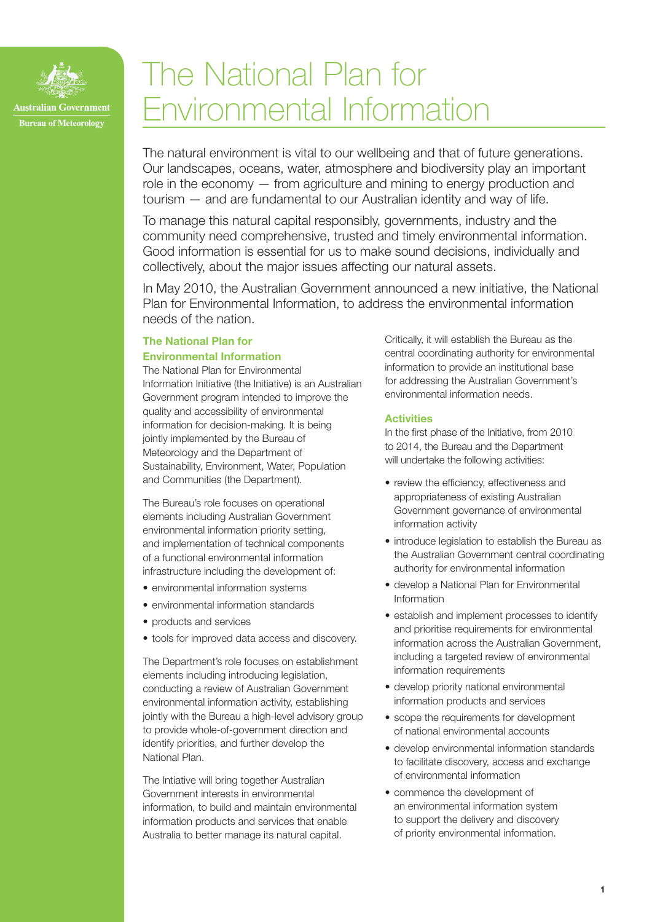

# The National Plan for Environmental Information

The natural environment is vital to our wellbeing and that of future generations. Our landscapes, oceans, water, atmosphere and biodiversity play an important role in the economy — from agriculture and mining to energy production and tourism — and are fundamental to our Australian identity and way of life.

To manage this natural capital responsibly, governments, industry and the community need comprehensive, trusted and timely environmental information. Good information is essential for us to make sound decisions, individually and collectively, about the major issues affecting our natural assets.

In May 2010, the Australian Government announced a new initiative, the National Plan for Environmental Information, to address the environmental information needs of the nation.

## The National Plan for

## Environmental Information

The National Plan for Environmental Information Initiative (the Initiative) is an Australian Government program intended to improve the quality and accessibility of environmental information for decision-making. It is being jointly implemented by the Bureau of Meteorology and the Department of Sustainability, Environment, Water, Population and Communities (the Department).

The Bureau's role focuses on operational elements including Australian Government environmental information priority setting, and implementation of technical components of a functional environmental information infrastructure including the development of:

- environmental information systems
- environmental information standards
- products and services
- tools for improved data access and discovery.

The Department's role focuses on establishment elements including introducing legislation, conducting a review of Australian Government environmental information activity, establishing jointly with the Bureau a high-level advisory group to provide whole-of-government direction and identify priorities, and further develop the National Plan.

The Intiative will bring together Australian Government interests in environmental information, to build and maintain environmental information products and services that enable Australia to better manage its natural capital.

Critically, it will establish the Bureau as the central coordinating authority for environmental information to provide an institutional base for addressing the Australian Government's environmental information needs.

## **Activities**

In the first phase of the Initiative, from 2010 to 2014, the Bureau and the Department will undertake the following activities:

- review the efficiency, effectiveness and appropriateness of existing Australian Government governance of environmental information activity
- introduce legislation to establish the Bureau as the Australian Government central coordinating authority for environmental information
- develop a National Plan for Environmental Information
- establish and implement processes to identify and prioritise requirements for environmental information across the Australian Government, including a targeted review of environmental information requirements
- develop priority national environmental information products and services
- scope the requirements for development of national environmental accounts
- develop environmental information standards to facilitate discovery, access and exchange of environmental information
- • commence the development of an environmental information system to support the delivery and discovery of priority environmental information.